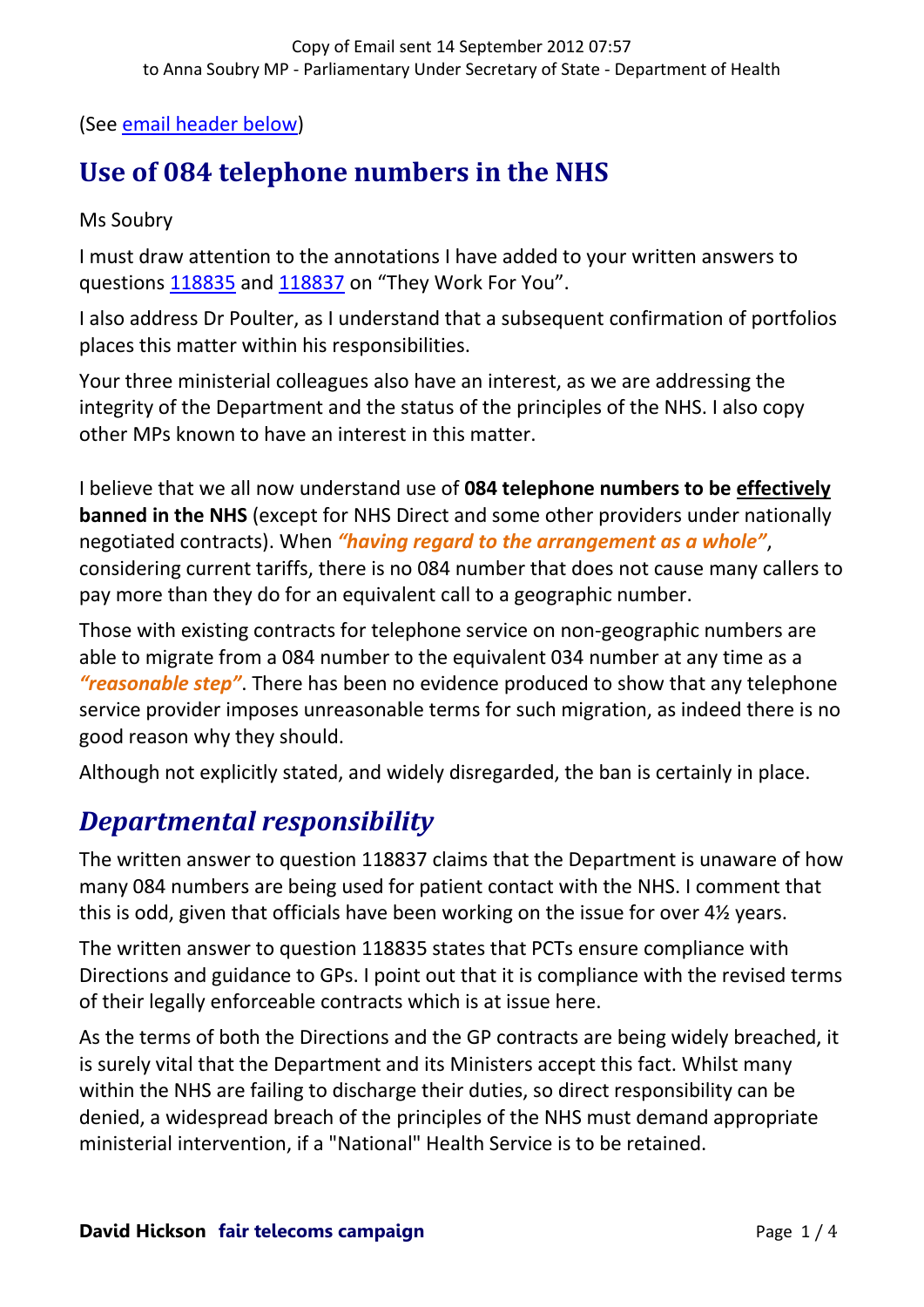(See [email header below\)](#page-0-0)

# <span id="page-0-0"></span>**Use of 084 telephone numbers in the NHS**

#### Ms Soubry

I must draw attention to the annotations I have added to your written answers to questions [118835](http://www.theyworkforyou.com/wrans/?id=2012-09-06a.118835.h#c29949) and [118837](http://www.theyworkforyou.com/wrans/?id=2012-09-07a.118837.h#c29950) on "They Work For You".

I also address Dr Poulter, as I understand that a subsequent confirmation of portfolios places this matter within his responsibilities.

Your three ministerial colleagues also have an interest, as we are addressing the integrity of the Department and the status of the principles of the NHS. I also copy other MPs known to have an interest in this matter.

I believe that we all now understand use of **084 telephone numbers to be effectively banned in the NHS** (except for NHS Direct and some other providers under nationally negotiated contracts). When *"having regard to the arrangement as a whole"*, considering current tariffs, there is no 084 number that does not cause many callers to pay more than they do for an equivalent call to a geographic number.

Those with existing contracts for telephone service on non-geographic numbers are able to migrate from a 084 number to the equivalent 034 number at any time as a *"reasonable step"*. There has been no evidence produced to show that any telephone service provider imposes unreasonable terms for such migration, as indeed there is no good reason why they should.

Although not explicitly stated, and widely disregarded, the ban is certainly in place.

## *Departmental responsibility*

The written answer to question 118837 claims that the Department is unaware of how many 084 numbers are being used for patient contact with the NHS. I comment that this is odd, given that officials have been working on the issue for over 4½ years.

The written answer to question 118835 states that PCTs ensure compliance with Directions and guidance to GPs. I point out that it is compliance with the revised terms of their legally enforceable contracts which is at issue here.

As the terms of both the Directions and the GP contracts are being widely breached, it is surely vital that the Department and its Ministers accept this fact. Whilst many within the NHS are failing to discharge their duties, so direct responsibility can be denied, a widespread breach of the principles of the NHS must demand appropriate ministerial intervention, if a "National" Health Service is to be retained.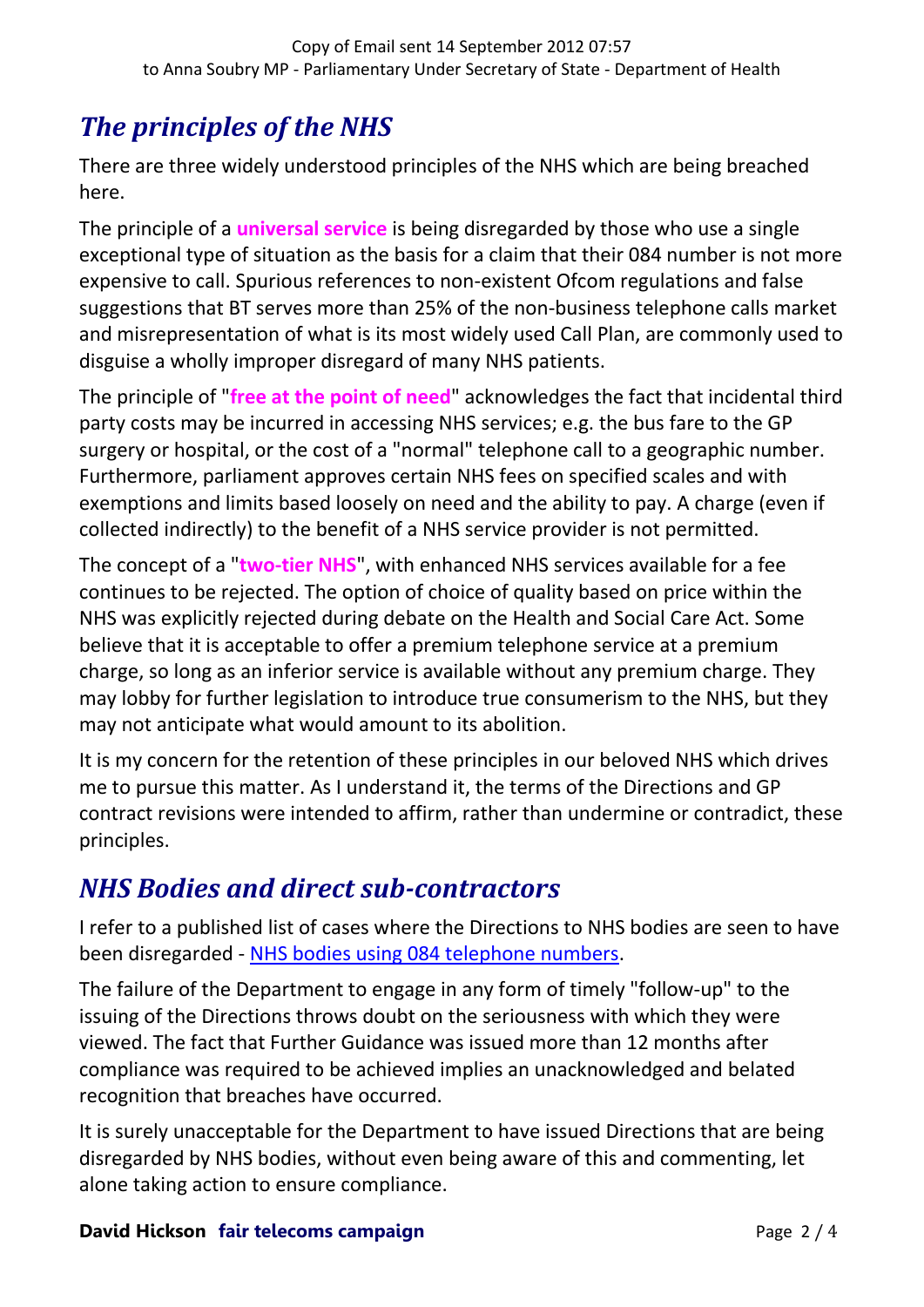# *The principles of the NHS*

There are three widely understood principles of the NHS which are being breached here.

The principle of a **universal service** is being disregarded by those who use a single exceptional type of situation as the basis for a claim that their 084 number is not more expensive to call. Spurious references to non-existent Ofcom regulations and false suggestions that BT serves more than 25% of the non-business telephone calls market and misrepresentation of what is its most widely used Call Plan, are commonly used to disguise a wholly improper disregard of many NHS patients.

The principle of "**free at the point of need**" acknowledges the fact that incidental third party costs may be incurred in accessing NHS services; e.g. the bus fare to the GP surgery or hospital, or the cost of a "normal" telephone call to a geographic number. Furthermore, parliament approves certain NHS fees on specified scales and with exemptions and limits based loosely on need and the ability to pay. A charge (even if collected indirectly) to the benefit of a NHS service provider is not permitted.

The concept of a "**two-tier NHS**", with enhanced NHS services available for a fee continues to be rejected. The option of choice of quality based on price within the NHS was explicitly rejected during debate on the Health and Social Care Act. Some believe that it is acceptable to offer a premium telephone service at a premium charge, so long as an inferior service is available without any premium charge. They may lobby for further legislation to introduce true consumerism to the NHS, but they may not anticipate what would amount to its abolition.

It is my concern for the retention of these principles in our beloved NHS which drives me to pursue this matter. As I understand it, the terms of the Directions and GP contract revisions were intended to affirm, rather than undermine or contradict, these principles.

## *NHS Bodies and direct sub-contractors*

I refer to a published list of cases where the Directions to NHS bodies are seen to have been disregarded - [NHS bodies using 084 telephone numbers.](http://tiny.cc/FTNHS084)

The failure of the Department to engage in any form of timely "follow-up" to the issuing of the Directions throws doubt on the seriousness with which they were viewed. The fact that Further Guidance was issued more than 12 months after compliance was required to be achieved implies an unacknowledged and belated recognition that breaches have occurred.

It is surely unacceptable for the Department to have issued Directions that are being disregarded by NHS bodies, without even being aware of this and commenting, let alone taking action to ensure compliance.

#### **David Hickson fair telecoms campaign Page 2/4**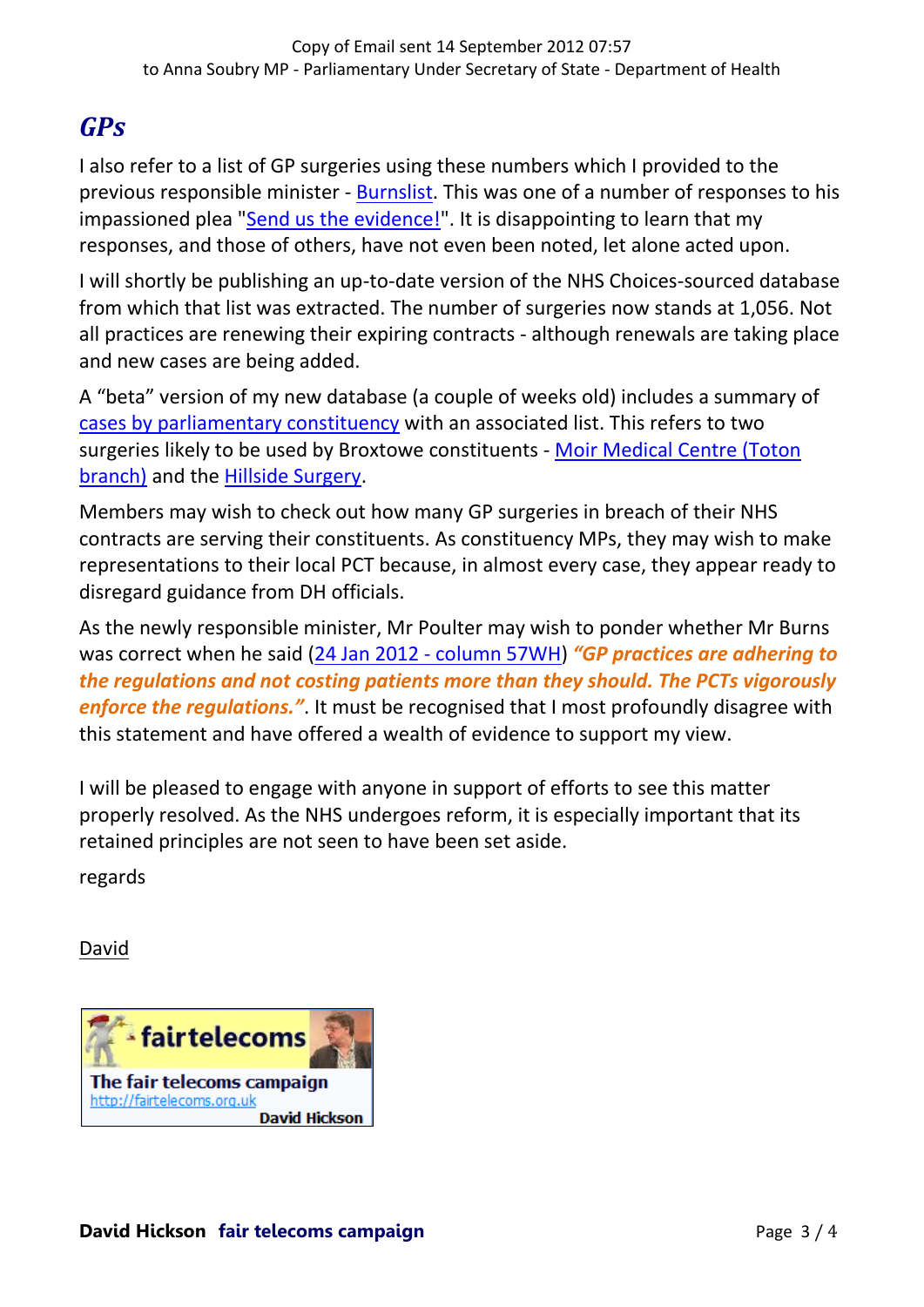## *GPs*

I also refer to a list of GP surgeries using these numbers which I provided to the previous responsible minister - [Burnslist.](http://tiny.cc/Burnslist) This was one of a number of responses to his impassioned plea ["Send us the evidence!"](http://tiny.cc/Burnsplea). It is disappointing to learn that my responses, and those of others, have not even been noted, let alone acted upon.

I will shortly be publishing an up-to-date version of the NHS Choices-sourced database from which that list was extracted. The number of surgeries now stands at 1,056. Not all practices are renewing their expiring contracts - although renewals are taking place and new cases are being added.

A "beta" version of my new database (a couple of weeks old) includes a summary of [cases by parliamentary constituency](https://docs.google.com/spreadsheet/pub?hl=en_US&hl=en_US&output=html&key=0Ahj34-jsbIWldE9UcW12MC11NDBDMjVhQlpyaVQ5MUE&single=true&gid=8&gridlines=true) with an associated list. This refers to two surgeries likely to be used by Broxtowe constituents - [Moir Medical Centre \(Toton](http://www.nhs.uk/Services/GP/MapsAndDirections/DefaultView.aspx?id=39292)  [branch\)](http://www.nhs.uk/Services/GP/MapsAndDirections/DefaultView.aspx?id=39292) and the [Hillside Surgery.](http://www.nhs.uk/Services/GP/MapsAndDirections/DefaultView.aspx?id=39934)

Members may wish to check out how many GP surgeries in breach of their NHS contracts are serving their constituents. As constituency MPs, they may wish to make representations to their local PCT because, in almost every case, they appear ready to disregard guidance from DH officials.

As the newly responsible minister, Mr Poulter may wish to ponder whether Mr Burns was correct when he said (24 Jan 2012 - [column 57WH\)](http://www.publications.parliament.uk/pa/cm201212/cmhansrd/cm120124/halltext/120124h0002.htm#120124h0002.htm_para67) *"GP practices are adhering to the regulations and not costing patients more than they should. The PCTs vigorously enforce the regulations.* It must be recognised that I most profoundly disagree with this statement and have offered a wealth of evidence to support my view.

I will be pleased to engage with anyone in support of efforts to see this matter properly resolved. As the NHS undergoes reform, it is especially important that its retained principles are not seen to have been set aside.

regards

[David](mailto:david@fairtelecoms.org.uk)